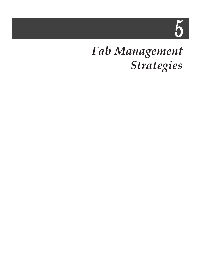5

## *Fab Management Strategies*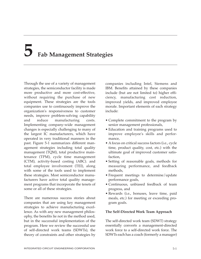# **5 Fab Management Strategies**

Through the use of a variety of management strategies, the semiconductor facility is made more productive and more cost-effective, without requiring the purchase of new equipment. These strategies are the tools companies use to continuously improve the organization's responsiveness to customer needs, improve problem-solving capability and reduce manufacturing costs. Implementing company-wide management changes is especially challenging to many of the largest IC manufacturers, which have operated in very traditional manners in the past. Figure 5-1 summarizes different management strategies including total quality management (TQM), total productive maintenance (TPM), cycle time management (CTM), activity-based costing (ABC). and total employee involvement (TEI), along with some of the tools used to implement these strategies. Most semiconductor manufacturers have active total quality management programs that incorporate the tenets of some or all of these strategies.

There are numerous success stories about companies that are using key management strategies to achieve manufacturing excellence. As with any new management philosophy, the benefits lie not in the method used, but in the successful implementation of the program. Here we review the successful use of self-directed work teams (SDWTs), the theory of constraints and other strategies by

companies including Intel, Siemens and IBM. Benefits attained by these companies include (but are not limited to) higher efficiency, manufacturing cost reduction, improved yields, and improved employee morale. Important elements of each strategy include:

- Complete commitment to the program by senior management professionals,
- Education and training programs used to improve employee's skills and performance,
- A focus on critical success factors (i.e., cycle time, product quality, cost, etc.) with the ultimate goal of improved customer satisfaction,
- Setting of reasonable goals, methods for measuring performance, and feedback methods,
- Frequent meetings to determine/update performance goals,
- Continuous, unbiased feedback of team progress, and
- Rewards (i.e., bonuses, leave time, paid meals, etc.) for meeting or exceeding program goals.

#### **The Self-Directed Work Team Approach**

The self-directed work team (SDWT) strategy essentially converts a management-directed work force to a self-directed work force. The SDWTs each has a coach (formerly a manager)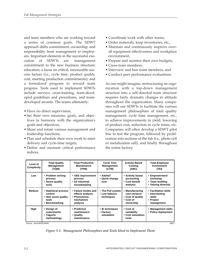and team members who are working toward a series of common goals. The SDWT approach shifts commitment, ownership, and responsibility from management to employees. Important elements in the successful execution of SDWTs are: management commitment to the new business structure; education; a focus on critical, measurable success factors (i.e., cycle time, product quality, cost, meeting production commitments); and a formalized program to reward team progress. Tools used to implement SDWTs include surveys, cross-training, team-developed guidelines and procedures, and teamdeveloped awards. The teams ultimately:

- Have no direct supervision,
- Set their own missions, goals, and objectives in harmony with the organization's goals and objectives,
- Share and rotate various management and leadership functions,
- Plan and schedule their own work to meet delivery and cycle-time targets,
- Define and measure critical performance indices,
- Coordinate work with other teams,
- Order materials, keep inventories, etc.,
- Maintain and continuously improve overall equipment effectiveness and workplace environment,
- Prepare and monitor their own budgets,
- Cross-train members,
- Interview and hire team members, and
- Conduct peer performance evaluations.

As one might imagine, restructuring an organization with a top-down management structure into a self-directed team structure requires fairly dramatic changes in attitude throughout the organization. Many companies will use SDWTs to facilitate the various management philosophies of total quality management, cycle time management, etc., to achieve improvements in yield, lowering of product cost, reduction in cycle times, etc. Companies will often develop a SDWT pilot line to test the program, followed by proliferation into sections of the fab (i.e., photo cell or metalization cell), and finally throughout the entire factory.

| Level of<br>Complexity | <b>Total Quality</b><br><b>Management</b><br>(TQM)                                 | <b>Total Productive</b><br><b>Maintenance</b><br>(TPM)                           | <b>Cycle Time</b><br><b>Management</b><br>(CTM)   | <b>Activity Based</b><br>Costing<br>(ABC)                                       | <b>Total Employee</b><br>Involvement<br>(TEI)                                |
|------------------------|------------------------------------------------------------------------------------|----------------------------------------------------------------------------------|---------------------------------------------------|---------------------------------------------------------------------------------|------------------------------------------------------------------------------|
| Low                    | • Problem solving<br>process<br>• Seven quality<br>tools                           | • OEE improvement<br>process<br>• 5S industrial<br>housekeeping                  | • AdeltaT<br>• Quick change<br>over               | • Activity based<br>accounting<br>• Cost benefit<br>analysis                    | • Empowerment<br>workshop<br>• Team building<br>• Valuing diversity          |
| <b>Medium</b>          | • Statistical process<br>control<br>• New seven quality<br>tools<br>• Benchmarking | • Failure modes and<br>effects analysis<br>• Phenomena-<br>mechanism<br>analysis | • The Pull system<br>• Line balance<br>techniques | • Manufacturing<br>cost variance<br>• Cost of quality<br>• Cost of<br>ownership | • Facilitation skills<br>• Interviewing<br>skills<br>• Project<br>management |
| High                   | • Design of<br>experiments<br>• Taguchi<br>methodology                             | • Predictive<br>maintenance<br>• Quality<br>maintenance                          | • IE techniques<br>• Factory<br>simulation        | • Cost of<br>variability<br>• Cost simulation<br>tools                          | • Management skills<br>• Policy deployment                                   |

Source: Xerox/IEEE/SEMI 19877

*Figure 5-1. Management Philosophies and Tools Used to Implement Them*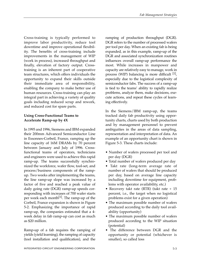Cross-training is typically performed to improve labor productivity, reduce tool downtime and improve operational flexibility. The benefits of cross-training include improvements in the management of WIP (work in process), increased throughput and finally, elevation of factory output. Crosstraining is an inherent part of cooperative team structures, which offers individuals the opportunity to expand their skills outside their immediate area of responsibility, enabling the company to make better use of human resources. Cross-training can play an integral part in achieving a variety of quality goals including reduced scrap and rework, and reduced cost for spare parts.

### **Using Cross-Functional Teams to Accelerate Ramp-up by 4X**

In 1995 and 1996, Siemens and IBM expanded their 200mm Advanced Semiconductor Line in Essonnes-Corbeil, France, ramping up the line capacity of 16M DRAMs by 70 percent between January and July of 1996. Crossfunctional teams of operators, technicians and engineers were used to achieve this rapid ramp-up. The teams successfully synchronized the workforce, wafer flow, tool-set, and process/business components of the rampup. Two weeks after implementing the teams, the line ramp-up slope was increased by a factor of five and reached a peak value of daily going rate (DGR) ramp-up speeds corresponding with increases of 700 wafer starts per week each month<sup>[1]</sup>. The ramp-up of the Corbeil, France expansion is shown in Figure 5-2. Emphasizing the importance of rapid ramp-up, the companies estimated that a 4 week delay in fab ramp-up can cost as much as \$20 million.

Ramp-up of a fab requires the ramping of yields (yield learning), the ramping of capacity (tool installation and qualification), and the

ramping of production throughput (DGR). DGR refers to the number of processed wafers per tool per day. When an existing fab is being expanded, as in this example, ramp-up of the DGR and associated synchronization routines influences overall ramp-up performance the most. While increases in manpower and capacity are relatively easy to manage, work in process (WIP) balancing is more difficult  $[1]$ , especially due to the logistical complexity of semiconductor fabs. The success of a ramp-up is tied to the teams' ability to rapidly realize problems, analyze them, make decisions, execute actions, and repeat these cycles of learning effectively.

In the Siemens/IBM ramp-up, the teams tracked daily fab productivity using opportunity charts, charts used by both production and by management personnel to prevent ambiguities in the areas of data sampling, representation and interpretation of data. An example of an opportunity chart is shown in Figure 5-3. These charts include:

- Number of wafers processed per tool and per day (DGR)
- Total number of wafers produced per day
- Takt rate (long-term average rate of number of wafers that should be produced per day, based on average line capacity including downtime for equipment, problems with operator availability, etc.)
- Recovery takt rate (RTR) (takt rate + 15 percent, i.e., the target when no logistical problems exist for a given operation)
- The maximum possible number of wafers produced according to the daily tool availability (opportunity)
- The maximum possible number of wafers produced according to the WIP situation (potential)
- The difference between DGR and the opportunity or potential (whichever is smaller), so called loss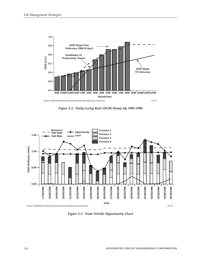

*Figure 5-2. Daily Going Rate (DGR) Ramp Up 1995-1996*



*Figure 5-3. Node Nitride Opportunity Chart*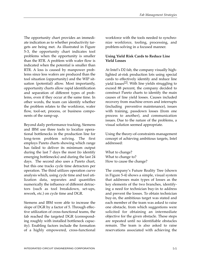The opportunity chart provides an immediate indication as to whether productivity targets are being met. As illustrated in Figure 5-3, the opportunity chart indicates tool problems when the opportunity is smaller than the RTR. A problem with wafer flow is indicated when the potential is smaller than RTR. A loss is caused by manpower problems since less wafers are produced than the tool situation (opportunity) and the WIP situation (potential) allow. Most importantly, opportunity charts allow rapid identification and separation of different types of problems, even if they occur at the same time. In other words, the team can identify whether the problem relates to the workforce, wafer flow, tool-set, process, or business components of the ramp-up.

Beyond daily performance tracking, Siemens and IBM use three tools to localize operational bottlenecks in the production line for long-term problem solving. The first employs Pareto charts showing which range has failed to deliver its minimum output during the last 7 days the most (to identify emerging bottlenecks) and during the last 24 days. The second also uses a Pareto chart, but this one tracks cycle time detractors per operation. The third utilizes operation curve analysis which, using cycle time and tool utilization data, separates and quantifies numerically the influence of different detractors (such as tool breakdown, set-ups, rework, etc.) on cycle time and DGR.

Siemens and IBM were able to increase the slope of DGR by a factor of 5. Through effective utilization of cross-functional teams, the fab reached the targeted DGR (corresponding roughly with installed bottleneck capacity). Enabling factors include the formation of a highly empowered, cross-functional workforce with the tools needed to synchronize workforce, tooling, processing, and problem-solving in a focused manner.

#### **Using Yield Risk Cards to Reduce Line Yield Losses**

At Intel's D2 fab, the company visually highlighted at-risk production lots using special cards to effectively identify and reduce line yield losses<sup>[2]</sup>. With line yields struggling to exceed 88 percent, the company decided to construct Pareto charts to identify the main causes of line yield losses. Causes included recovery from machine errors and interrupts (including preventive maintenance), issues with training, passdown losses (from one process to another), and communication issues. Due to the nature of the problems, a visual solution seemed appropriate.

Using the theory-of-constraints management concept of achieving ambitious targets, Intel addressed:

What to change? What to change to? How to cause the change?

The company's Future Reality Tree (shown in Figure 5-4) shows a simple, visual system that addresses main types of losses as the key elements of the two branches, identifying a need for technician buy-in to address and prevent the losses. To obtain technician buy-in, the ambitious target was stated and each member of the team was asked to raise one obstacle, from which suggestions were solicited for obtaining an intermediate objective for the given obstacle. These steps are repeated until no identifiable obstacles remain. The team is also asked to raise reservations associated with achieving the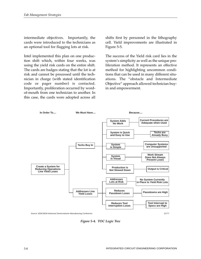intermediate objectives. Importantly, the cards were introduced to the technicians as an optional tool for flagging lots at risk.

Intel implemented this plan on one production shift which, within four weeks, was using the yield risk cards on the entire shift. The cards are badges stating that the lot is at risk and cannot be processed until the technician in charge (with stated identification code or pager number) is contacted. Importantly, proliferation occurred by wordof-mouth from one technician to another. In this case, the cards were adopted across all shifts first by personnel in the lithography cell. Yield improvements are illustrated in Figure 5-5.

The success of the Yield risk card lies in the system's simplicity as well as the unique proliferation method. It represents an effective method for highlighting uncommon conditions that can be used in many different situations. The "obstacle and Intermediate Objective" approach allowed technician buyin and empowerment.



*Figure 5-4. TOC Logic Tree*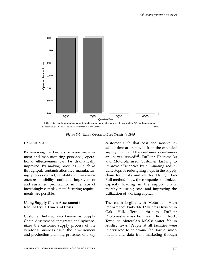

*Figure 5-5. Litho Operator Loss Trends in 1995*

#### **Conclusions**

By removing the barriers between management and manufacturing personnel, operational effectiveness can be dramatically improved. By making priorities — such as throughput, contamination-free manufacturing, process control, reliability, etc. — everyone's responsibility, continuous improvement and sustained profitability in the face of increasingly complex manufacturing requirements, are possible.

#### **Using Supply Chain Assessment to Reduce Cycle Time and Costs**

Customer linking, also known as Supply Chain Assessment, integrates and synchronizes the customer supply process of the vendor's business with the procurement and production planning processes of a key

customer such that cost and non-valueadded time are removed from the extended supply chain and the customer's customers are better served<sup>[3]</sup>. DuPont Photomasks and Motorola used Customer Linking to improve efficiencies by eliminating redundant steps or redesigning steps in the supply chain for masks and reticles. Using a Fab Pull methodology, the companies optimized capacity loading in the supply chain, thereby reducing costs and improving the utilization of working capital.

The chain begins with Motorola's High Performance Embedded Systems Division in Oak Hill, Texas, through DuPont Photomasks' mask facilities in Round Rock, Texas, to Motorola's MOS-8 wafer fab in Austin, Texas. People at all facilities were interviewed to determine the flow of information and data from marketing through